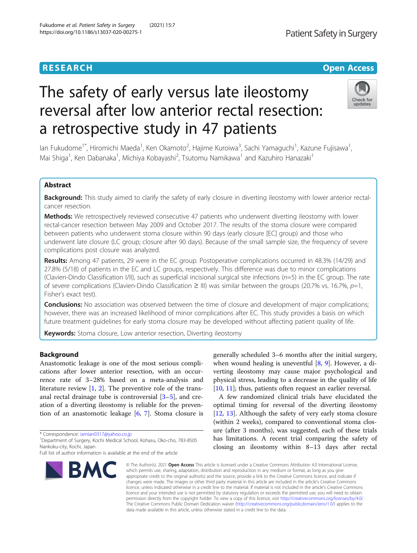# The safety of early versus late ileostomy reversal after low anterior rectal resection: a retrospective study in 47 patients

lan Fukudome<sup>1\*</sup>, Hiromichi Maeda<sup>1</sup>, Ken Okamoto<sup>2</sup>, Hajime Kuroiwa<sup>3</sup>, Sachi Yamaguchi<sup>1</sup>, Kazune Fujisawa<sup>1</sup> , Mai Shiga<sup>1</sup>, Ken Dabanaka<sup>1</sup>, Michiya Kobayashi<sup>2</sup>, Tsutomu Namikawa<sup>1</sup> and Kazuhiro Hanazaki<sup>1</sup>

### Abstract

Background: This study aimed to clarify the safety of early closure in diverting ileostomy with lower anterior rectalcancer resection.

Methods: We retrospectively reviewed consecutive 47 patients who underwent diverting ileostomy with lower rectal-cancer resection between May 2009 and October 2017. The results of the stoma closure were compared between patients who underwent stoma closure within 90 days (early closure [EC] group) and those who underwent late closure (LC group; closure after 90 days). Because of the small sample size, the frequency of severe complications post closure was analyzed.

Results: Among 47 patients, 29 were in the EC group. Postoperative complications occurred in 48.3% (14/29) and 27.8% (5/18) of patients in the EC and LC groups, respectively. This difference was due to minor complications (Clavien-Dindo Classification  $I/I$ ), such as superficial incisional surgical site infections ( $n=5$ ) in the EC group. The rate of severe complications (Clavien-Dindo Classification  $\geq$  III) was similar between the groups (20.7% vs. 16.7%,  $p=1$ , Fisher's exact test).

**Conclusions:** No association was observed between the time of closure and development of major complications; however, there was an increased likelihood of minor complications after EC. This study provides a basis on which future treatment guidelines for early stoma closure may be developed without affecting patient quality of life.

**Keywords:** Stoma closure, Low anterior resection, Diverting ileostomy

#### Background

Anastomotic leakage is one of the most serious complications after lower anterior resection, with an occurrence rate of 3–28% based on a meta-analysis and literature review [\[1](#page-5-0), [2\]](#page-5-0). The preventive role of the transanal rectal drainage tube is controversial [[3](#page-5-0)–[5](#page-5-0)], and creation of a diverting ileostomy is reliable for the prevention of an anastomotic leakage [[6,](#page-5-0) [7\]](#page-5-0). Stoma closure is

\* Correspondence: [iamian0317@yahoo.co.jp](mailto:iamian0317@yahoo.co.jp) <sup>1</sup>

## Fukudome et al. Patient Safety in Surgery (2021) 15:7 https://doi.org/10.1186/s13037-020-00275-1

**BMC** 

generally scheduled 3–6 months after the initial surgery, when wound healing is uneventful  $[8, 9]$  $[8, 9]$  $[8, 9]$  $[8, 9]$ . However, a diverting ileostomy may cause major psychological and physical stress, leading to a decrease in the quality of life [[10,](#page-5-0) [11\]](#page-5-0); thus, patients often request an earlier reversal.

A few randomized clinical trials have elucidated the optimal timing for reversal of the diverting ileostomy [[12,](#page-5-0) [13](#page-5-0)]. Although the safety of very early stoma closure (within 2 weeks), compared to conventional stoma closure (after 3 months), was suggested, each of these trials has limitations. A recent trial comparing the safety of closing an ileostomy within 8–13 days after rectal

© The Author(s), 2021 **Open Access** This article is licensed under a Creative Commons Attribution 4.0 International License, which permits use, sharing, adaptation, distribution and reproduction in any medium or format, as long as you give appropriate credit to the original author(s) and the source, provide a link to the Creative Commons licence, and indicate if changes were made. The images or other third party material in this article are included in the article's Creative Commons licence, unless indicated otherwise in a credit line to the material. If material is not included in the article's Creative Commons licence and your intended use is not permitted by statutory regulation or exceeds the permitted use, you will need to obtain permission directly from the copyright holder. To view a copy of this licence, visit [http://creativecommons.org/licenses/by/4.0/.](http://creativecommons.org/licenses/by/4.0/) The Creative Commons Public Domain Dedication waiver [\(http://creativecommons.org/publicdomain/zero/1.0/](http://creativecommons.org/publicdomain/zero/1.0/)) applies to the data made available in this article, unless otherwise stated in a credit line to the data.

Patient Safety in Surgery







Department of Surgery, Kochi Medical School, Kohasu, Oko-cho, 783-8505 Nankoku-city, Kochi, Japan

Full list of author information is available at the end of the article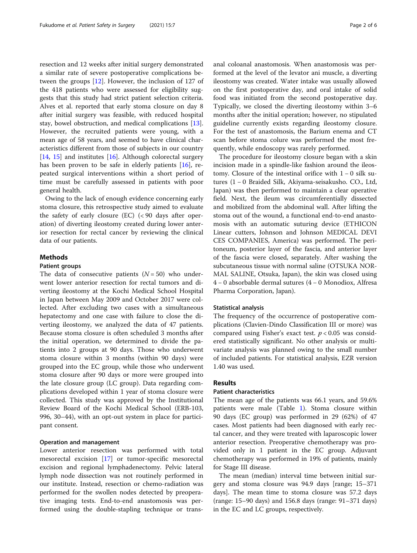resection and 12 weeks after initial surgery demonstrated a similar rate of severe postoperative complications between the groups [\[12](#page-5-0)]. However, the inclusion of 127 of the 418 patients who were assessed for eligibility suggests that this study had strict patient selection criteria. Alves et al. reported that early stoma closure on day 8 after initial surgery was feasible, with reduced hospital stay, bowel obstruction, and medical complications [\[13](#page-5-0)]. However, the recruited patients were young, with a mean age of 58 years, and seemed to have clinical characteristics different from those of subjects in our country [[14,](#page-5-0) [15](#page-5-0)] and institutes  $[16]$  $[16]$ . Although colorectal surgery has been proven to be safe in elderly patients [[16](#page-5-0)], repeated surgical interventions within a short period of time must be carefully assessed in patients with poor general health.

Owing to the lack of enough evidence concerning early stoma closure, this retrospective study aimed to evaluate the safety of early closure (EC) (< 90 days after operation) of diverting ileostomy created during lower anterior resection for rectal cancer by reviewing the clinical data of our patients.

#### Methods

#### Patient groups

The data of consecutive patients  $(N = 50)$  who underwent lower anterior resection for rectal tumors and diverting ileostomy at the Kochi Medical School Hospital in Japan between May 2009 and October 2017 were collected. After excluding two cases with a simultaneous hepatectomy and one case with failure to close the diverting ileostomy, we analyzed the data of 47 patients. Because stoma closure is often scheduled 3 months after the initial operation, we determined to divide the patients into 2 groups at 90 days. Those who underwent stoma closure within 3 months (within 90 days) were grouped into the EC group, while those who underwent stoma closure after 90 days or more were grouped into the late closure group (LC group). Data regarding complications developed within 1 year of stoma closure were collected. This study was approved by the Institutional Review Board of the Kochi Medical School (ERB-103, 996, 30–44), with an opt-out system in place for participant consent.

#### Operation and management

Lower anterior resection was performed with total mesorectal excision [\[17](#page-5-0)] or tumor-specific mesorectal excision and regional lymphadenectomy. Pelvic lateral lymph node dissection was not routinely performed in our institute. Instead, resection or chemo-radiation was performed for the swollen nodes detected by preoperative imaging tests. End-to-end anastomosis was performed using the double-stapling technique or transanal coloanal anastomosis. When anastomosis was performed at the level of the levator ani muscle, a diverting ileostomy was created. Water intake was usually allowed on the first postoperative day, and oral intake of solid food was initiated from the second postoperative day. Typically, we closed the diverting ileostomy within 3–6 months after the initial operation; however, no stipulated guideline currently exists regarding ileostomy closure. For the test of anastomosis, the Barium enema and CT scan before stoma colure was performed the most frequently, while endoscopy was rarely performed.

The procedure for ileostomy closure began with a skin incision made in a spindle-like fashion around the ileostomy. Closure of the intestinal orifice with 1 − 0 silk sutures (1 − 0 Braided Silk, Akiyama-seisakusho. CO., Ltd, Japan) was then performed to maintain a clear operative field. Next, the ileum was circumferentially dissected and mobilized from the abdominal wall. After lifting the stoma out of the wound, a functional end-to-end anastomosis with an automatic suturing device (ETHICON Linear cutters, Johnson and Johnson MEDICAL DEVI CES COMPANIES, America) was performed. The peritoneum, posterior layer of the fascia, and anterior layer of the fascia were closed, separately. After washing the subcutaneous tissue with normal saline (OTSUKA NOR-MAL SALINE, Otsuka, Japan), the skin was closed using 4 − 0 absorbable dermal sutures (4 − 0 Monodiox, Alfresa Pharma Corporation, Japan).

#### Statistical analysis

The frequency of the occurrence of postoperative complications (Clavien-Dindo Classification III or more) was compared using Fisher's exact test.  $p < 0.05$  was considered statistically significant. No other analysis or multivariate analysis was planned owing to the small number of included patients. For statistical analysis, EZR version 1.40 was used.

#### Results

#### Patient characteristics

The mean age of the patients was 66.1 years, and 59.6% patients were male (Table [1\)](#page-2-0). Stoma closure within 90 days (EC group) was performed in 29 (62%) of 47 cases. Most patients had been diagnosed with early rectal cancer, and they were treated with laparoscopic lower anterior resection. Preoperative chemotherapy was provided only in 1 patient in the EC group. Adjuvant chemotherapy was performed in 19% of patients, mainly for Stage III disease.

The mean (median) interval time between initial surgery and stoma closure was 94.9 days [range; 15–371 days]. The mean time to stoma closure was 57.2 days (range: 15–90 days) and 156.8 days (range: 91–371 days) in the EC and LC groups, respectively.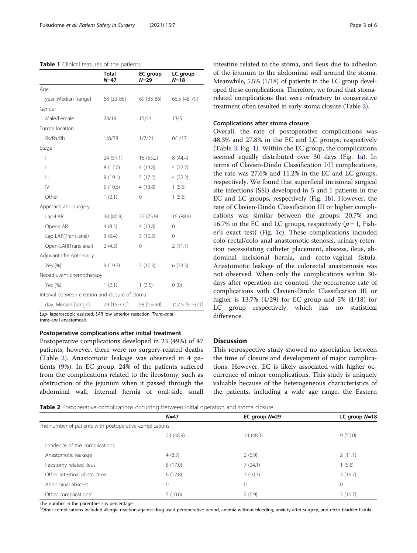#### <span id="page-2-0"></span>Table 1 Clinical features of the patients

|                                                | <b>Total</b><br>$N=47$ | EC group<br>$N=29$ | LC group<br>$N=18$ |
|------------------------------------------------|------------------------|--------------------|--------------------|
| Age                                            |                        |                    |                    |
| year, Median [range]                           | 68 [33-86]             | 69 [33-86]         | 66.5 [48-79]       |
| Gender                                         |                        |                    |                    |
| Male/Female                                    | 28/19                  | 15/14              | 13/5               |
| Tumor location                                 |                        |                    |                    |
| Rs/Ra/Rb                                       | 1/8/38                 | 1/7/21             | 0/1/17             |
| Stage                                          |                        |                    |                    |
| I                                              | 24(51.1)               | 16(55.2)           | 8(44.4)            |
| $\mathbf{I}$                                   | 8(17.0)                | 4(13.8)            | 4(22.2)            |
| $\mathbb{H}$                                   | 9(19.1)                | 5(17.2)            | 4(22.2)            |
| $\mathsf{IV}$                                  | 5(10.6)                | 4(13.8)            | 1(5.6)             |
| Other                                          | 1(2.1)                 | 0                  | 1(5.6)             |
| Approach and surgery                           |                        |                    |                    |
| Lap-LAR                                        | 38 (80.9)              | 22 (75.9)          | 16 (88.9)          |
| Open-LAR                                       | 4(8.5)                 | 4(13.8)            | $\Omega$           |
| Lap-LAR(Trans-anal)                            | 3(6.4)                 | 3(10.3)            | 0                  |
| Open-LAR(Trans-anal)                           | 2(4.3)                 | 0                  | 2(11.1)            |
| Adjuvant chemotherapy                          |                        |                    |                    |
| Yes (%)                                        | 9(19.2)                | 3(10.3)            | 6(33.3)            |
| Neoadjuvant chemotherapy                       |                        |                    |                    |
| Yes (%)                                        | 1(2.1)                 | 1(3.5)             | 0(0)               |
| Interval between creation and closure of stoma |                        |                    |                    |
| day, Median [range]                            | 79 [15-371]            | 58 [15-90]         | 107.5 [91-371]     |

Lap- laparoscopic assisted, LAR low anterior resection, Trans-anal trans-anal anastomosis

#### Postoperative complications after initial treatment

Postoperative complications developed in 23 (49%) of 47 patients; however, there were no surgery-related deaths (Table 2). Anastomotic leakage was observed in 4 patients (9%). In EC group, 24% of the patients suffered from the complications related to the ileostomy, such as obstruction of the jejunum when it passed through the abdominal wall, internal hernia of oral-side small intestine related to the stoma, and ileus due to adhesion of the jejunum to the abdominal wall around the stoma. Meanwhile, 5.5% (1/18) of patients in the LC group developed these complications. Therefore, we found that stomarelated complications that were refractory to conservative treatment often resulted in early stoma closure (Table 2).

#### Complications after stoma closure

Overall, the rate of postoperative complications was 48.3% and 27.8% in the EC and LC groups, respectively (Table [3;](#page-3-0) Fig. [1](#page-4-0)). Within the EC group, the complications seemed equally distributed over 30 days (Fig. [1a](#page-4-0)). In terms of Clavien-Dindo Classification I/II complications, the rate was 27.6% and 11.2% in the EC and LC groups, respectively. We found that superficial incisional surgical site infections (SSI) developed in 5 and 1 patients in the EC and LC groups, respectively (Fig. [1](#page-4-0)b). However, the rate of Clavien-Dindo Classification III or higher complications was similar between the groups: 20.7% and 16.7% in the EC and LC groups, respectively ( $p = 1$ , Fisher's exact test) (Fig. [1c](#page-4-0)). These complications included colo-rectal/colo-anal anastomotic stenosis, urinary retention necessitating catheter placement, abscess, ileus, abdominal incisional hernia, and recto-vaginal fistula. Anastomotic leakage of the colorectal anastomosis was not observed. When only the complications within 30 days after operation are counted, the occurrence rate of complications with Clavien-Dindo Classification III or higher is 13.7% (4/29) for EC group and 5% (1/18) for LC group respectively, which has no statistical difference.

#### **Discussion**

This retrospective study showed no association between the time of closure and development of major complications. However, EC is likely associated with higher occurrence of minor complications. This study is uniquely valuable because of the heterogeneous characteristics of the patients, including a wide age range, the Eastern

Table 2 Postoperative complications occurring between initial operation and stoma closure

|                                                         | $N=47$    | EC group $N=29$ | LC group $N=18$ |
|---------------------------------------------------------|-----------|-----------------|-----------------|
| The number of patients with postoperative complications |           |                 |                 |
|                                                         | 23 (48.9) | 14 (48.3)       | 9(50.0)         |
| Incidence of the complications                          |           |                 |                 |
| Anastomotic leakage                                     | 4(8.5)    | 2(6.9)          | 2(11.1)         |
| Ileostomy-related ileus                                 | 8(17.0)   | 7(24.1)         | 1(5.6)          |
| Other intestinal obstruction                            | 6(12.8)   | 3(10.3)         | 3(16.7)         |
| Abdominal abscess                                       | 0         | $\mathbf 0$     | $\mathbf{0}$    |
| Other complications <sup>a</sup>                        | 5(10.6)   | 2(6.9)          | 3(16.7)         |

The number in the parenthesis is percentage

<sup>a</sup>Other complications included allergic reaction against drug used perioperative period, anemia without bleeding, anxiety after surgery, and recto-bladder fistula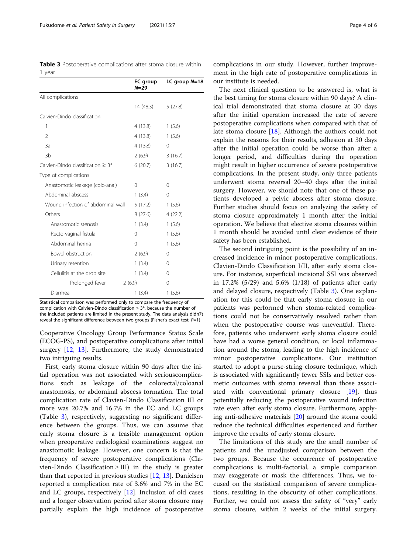<span id="page-3-0"></span>Table 3 Postoperative complications after stoma closure within 1 year

|                                         | EC group<br>$N = 29$ | LC group $N=18$ |
|-----------------------------------------|----------------------|-----------------|
| All complications                       |                      |                 |
|                                         | 14 (48.3)            | 5(27.8)         |
| Calvien-Dindo classification            |                      |                 |
| 1                                       | 4 (13.8)             | 1(5.6)          |
| $\overline{2}$                          | 4(13.8)              | 1(5.6)          |
| 3a                                      | 4(13.8)              | $\Omega$        |
| 3 <sub>b</sub>                          | 2(6.9)               | 3(16.7)         |
| Calvien-Dindo classification $\geq 3^*$ | 6(20.7)              | 3(16.7)         |
| Type of complications                   |                      |                 |
| Anastomotic leakage (colo-anal)         | $\Omega$             | 0               |
| Abdominal abscess                       | 1(3.4)               | $\Omega$        |
| Wound infection of abdominal wall       | 5(17.2)              | 1(5.6)          |
| Others                                  | 8(27.6)              | 4(22.2)         |
| Anastomotic stenosis                    | 1(3.4)               | 1(5.6)          |
| Recto-vaginal fistula                   | 0                    | 1(5.6)          |
| Abdominal hernia                        | $\Omega$             | 1(5.6)          |
| Bowel obstruction                       | 2(6.9)               | $\Omega$        |
| Urinary retention                       | 1(3.4)               | $\Omega$        |
| Cellulitis at the drop site             | 1(3.4)               | $\Omega$        |
| Prolonged fever                         | 2(6.9)               | 0               |
| Diarrhea                                | 1(3.4)               | 1(5.6)          |

Statistical comparison was performed only to compare the frequency of complication with Calvien-Dindo classification  $\geq 3^*$ , because the number of the included patients are limited in the present study. The data analysis didn7t reveal the significant difference between two groups (Fisher's exact test,  $P=1$ )

Cooperative Oncology Group Performance Status Scale (ECOG-PS), and postoperative complications after initial surgery [[12](#page-5-0), [13](#page-5-0)]. Furthermore, the study demonstrated two intriguing results.

First, early stoma closure within 90 days after the initial operation was not associated with seriouscomplications such as leakage of the colorectal/coloanal anastomosis, or abdominal abscess formation. The total complication rate of Clavien-Dindo Classification III or more was 20.7% and 16.7% in the EC and LC groups (Table 3), respectively, suggesting no significant difference between the groups. Thus, we can assume that early stoma closure is a feasible management option when preoperative radiological examinations suggest no anastomotic leakage. However, one concern is that the frequency of severe postoperative complications (Clavien-Dindo Classification ≥ III) in the study is greater than that reported in previous studies [\[12](#page-5-0), [13](#page-5-0)]. Danielsen reported a complication rate of 3.6% and 7% in the EC and LC groups, respectively [\[12](#page-5-0)]. Inclusion of old cases and a longer observation period after stoma closure may partially explain the high incidence of postoperative

complications in our study. However, further improvement in the high rate of postoperative complications in our institute is needed.

The next clinical question to be answered is, what is the best timing for stoma closure within 90 days? A clinical trial demonstrated that stoma closure at 30 days after the initial operation increased the rate of severe postoperative complications when compared with that of late stoma closure [\[18\]](#page-5-0). Although the authors could not explain the reasons for their results, adhesion at 30 days after the initial operation could be worse than after a longer period, and difficulties during the operation might result in higher occurrence of severe postoperative complications. In the present study, only three patients underwent stoma reversal 20–40 days after the initial surgery. However, we should note that one of these patients developed a pelvic abscess after stoma closure. Further studies should focus on analyzing the safety of stoma closure approximately 1 month after the initial operation. We believe that elective stoma closures within 1 month should be avoided until clear evidence of their safety has been established.

The second intriguing point is the possibility of an increased incidence in minor postoperative complications, Clavien-Dindo Classification I/II, after early stoma closure. For instance, superficial incisional SSI was observed in 17.2% (5/29) and 5.6% (1/18) of patients after early and delayed closure, respectively (Table 3). One explanation for this could be that early stoma closure in our patients was performed when stoma-related complications could not be conservatively resolved rather than when the postoperative course was uneventful. Therefore, patients who underwent early stoma closure could have had a worse general condition, or local inflammation around the stoma, leading to the high incidence of minor postoperative complications. Our institution started to adopt a purse-string closure technique, which is associated with significantly fewer SSIs and better cosmetic outcomes with stoma reversal than those associated with conventional primary closure [[19\]](#page-5-0), thus potentially reducing the postoperative wound infection rate even after early stoma closure. Furthermore, applying anti-adhesive materials [\[20\]](#page-5-0) around the stoma could reduce the technical difficulties experienced and further improve the results of early stoma closure.

The limitations of this study are the small number of patients and the unadjusted comparison between the two groups. Because the occurrence of postoperative complications is multi-factorial, a simple comparison may exaggerate or mask the differences. Thus, we focused on the statistical comparison of severe complications, resulting in the obscurity of other complications. Further, we could not assess the safety of "very" early stoma closure, within 2 weeks of the initial surgery.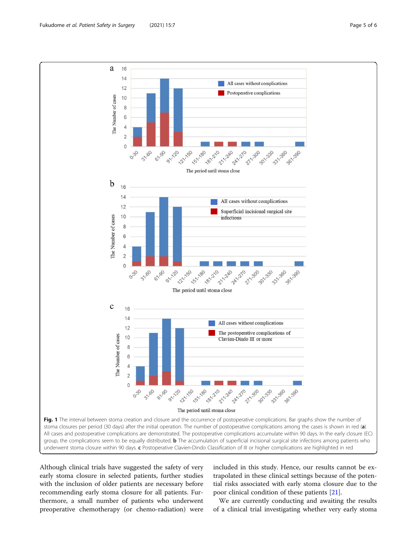<span id="page-4-0"></span>

Although clinical trials have suggested the safety of very early stoma closure in selected patients, further studies with the inclusion of older patients are necessary before recommending early stoma closure for all patients. Furthermore, a small number of patients who underwent preoperative chemotherapy (or chemo-radiation) were included in this study. Hence, our results cannot be extrapolated in these clinical settings because of the potential risks associated with early stoma closure due to the poor clinical condition of these patients [[21](#page-5-0)].

We are currently conducting and awaiting the results of a clinical trial investigating whether very early stoma